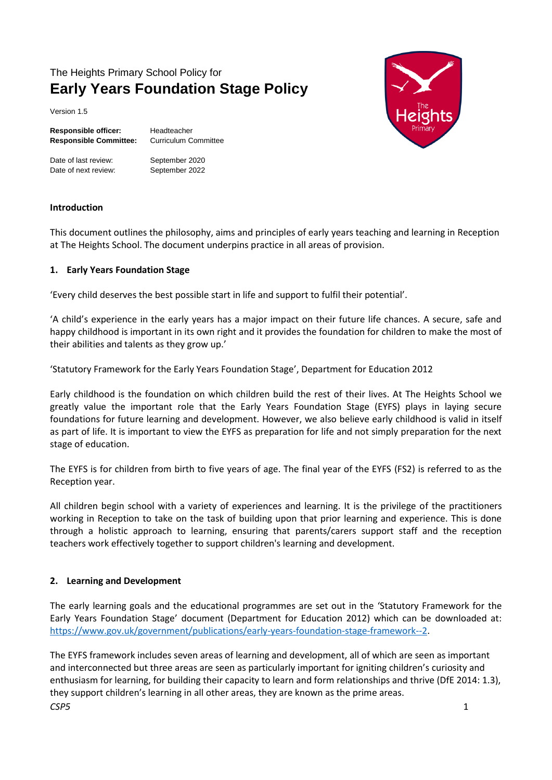# The Heights Primary School Policy for **Early Years Foundation Stage Policy**

Version 1.5

| <b>Responsible officer:</b>   | Headteacher                 |
|-------------------------------|-----------------------------|
| <b>Responsible Committee:</b> | <b>Curriculum Committee</b> |

Date of last review: September 2020 Date of next review: September 2022



#### **Introduction**

This document outlines the philosophy, aims and principles of early years teaching and learning in Reception at The Heights School. The document underpins practice in all areas of provision.

#### **1. Early Years Foundation Stage**

'Every child deserves the best possible start in life and support to fulfil their potential'.

'A child's experience in the early years has a major impact on their future life chances. A secure, safe and happy childhood is important in its own right and it provides the foundation for children to make the most of their abilities and talents as they grow up.'

'Statutory Framework for the Early Years Foundation Stage', Department for Education 2012

Early childhood is the foundation on which children build the rest of their lives. At The Heights School we greatly value the important role that the Early Years Foundation Stage (EYFS) plays in laying secure foundations for future learning and development. However, we also believe early childhood is valid in itself as part of life. It is important to view the EYFS as preparation for life and not simply preparation for the next stage of education.

The EYFS is for children from birth to five years of age. The final year of the EYFS (FS2) is referred to as the Reception year.

All children begin school with a variety of experiences and learning. It is the privilege of the practitioners working in Reception to take on the task of building upon that prior learning and experience. This is done through a holistic approach to learning, ensuring that parents/carers support staff and the reception teachers work effectively together to support children's learning and development.

## **2. Learning and Development**

The early learning goals and the educational programmes are set out in the 'Statutory Framework for the Early Years Foundation Stage' document (Department for Education 2012) which can be downloaded at: [https://www.gov.uk/government/publications/early-years-foundation-stage-framework--2.](https://www.gov.uk/government/publications/early-years-foundation-stage-framework--2)

*CSP5* 1 The EYFS framework includes seven areas of learning and development, all of which are seen as important and interconnected but three areas are seen as particularly important for igniting children's curiosity and enthusiasm for learning, for building their capacity to learn and form relationships and thrive (DfE 2014: 1.3), they support children's learning in all other areas, they are known as the prime areas.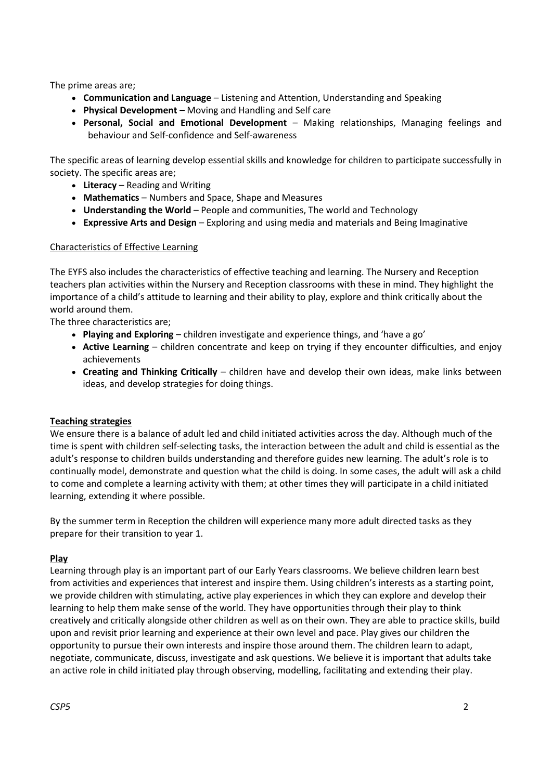The prime areas are;

- **Communication and Language**  Listening and Attention, Understanding and Speaking
- **Physical Development**  Moving and Handling and Self care
- **Personal, Social and Emotional Development**  Making relationships, Managing feelings and behaviour and Self-confidence and Self-awareness

The specific areas of learning develop essential skills and knowledge for children to participate successfully in society. The specific areas are;

- **Literacy**  Reading and Writing
- **Mathematics**  Numbers and Space, Shape and Measures
- **Understanding the World**  People and communities, The world and Technology
- **Expressive Arts and Design**  Exploring and using media and materials and Being Imaginative

## Characteristics of Effective Learning

The EYFS also includes the characteristics of effective teaching and learning. The Nursery and Reception teachers plan activities within the Nursery and Reception classrooms with these in mind. They highlight the importance of a child's attitude to learning and their ability to play, explore and think critically about the world around them.

The three characteristics are;

- **Playing and Exploring**  children investigate and experience things, and 'have a go'
- **Active Learning**  children concentrate and keep on trying if they encounter difficulties, and enjoy achievements
- **Creating and Thinking Critically**  children have and develop their own ideas, make links between ideas, and develop strategies for doing things.

## **Teaching strategies**

We ensure there is a balance of adult led and child initiated activities across the day. Although much of the time is spent with children self-selecting tasks, the interaction between the adult and child is essential as the adult's response to children builds understanding and therefore guides new learning. The adult's role is to continually model, demonstrate and question what the child is doing. In some cases, the adult will ask a child to come and complete a learning activity with them; at other times they will participate in a child initiated learning, extending it where possible.

By the summer term in Reception the children will experience many more adult directed tasks as they prepare for their transition to year 1.

## **Play**

Learning through play is an important part of our Early Years classrooms. We believe children learn best from activities and experiences that interest and inspire them. Using children's interests as a starting point, we provide children with stimulating, active play experiences in which they can explore and develop their learning to help them make sense of the world. They have opportunities through their play to think creatively and critically alongside other children as well as on their own. They are able to practice skills, build upon and revisit prior learning and experience at their own level and pace. Play gives our children the opportunity to pursue their own interests and inspire those around them. The children learn to adapt, negotiate, communicate, discuss, investigate and ask questions. We believe it is important that adults take an active role in child initiated play through observing, modelling, facilitating and extending their play.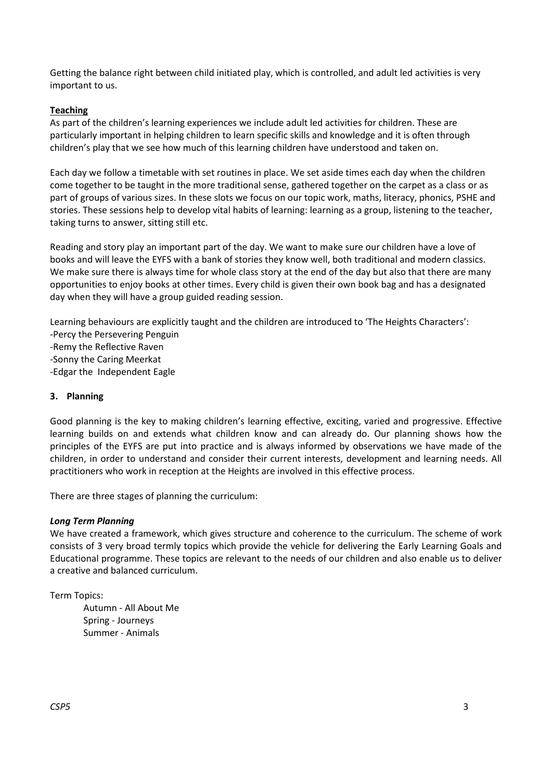Getting the balance right between child initiated play, which is controlled, and adult led activities is very important to us.

#### **Teaching**

As part of the children's learning experiences we include adult led activities for children. These are particularly important in helping children to learn specific skills and knowledge and it is often through children's play that we see how much of this learning children have understood and taken on.

Each day we follow a timetable with set routines in place. We set aside times each day when the children come together to be taught in the more traditional sense, gathered together on the carpet as a class or as part of groups of various sizes. In these slots we focus on our topic work, maths, literacy, phonics, PSHE and stories. These sessions help to develop vital habits of learning: learning as a group, listening to the teacher, taking turns to answer, sitting still etc.

Reading and story play an important part of the day. We want to make sure our children have a love of books and will leave the EYFS with a bank of stories they know well, both traditional and modern classics. We make sure there is always time for whole class story at the end of the day but also that there are many opportunities to enjoy books at other times. Every child is given their own book bag and has a designated day when they will have a group guided reading session.

Learning behaviours are explicitly taught and the children are introduced to 'The Heights Characters':

- -Percy the Persevering Penguin
- -Remy the Reflective Raven
- -Sonny the Caring Meerkat
- -Edgar the Independent Eagle

## **3. Planning**

Good planning is the key to making children's learning effective, exciting, varied and progressive. Effective learning builds on and extends what children know and can already do. Our planning shows how the principles of the EYFS are put into practice and is always informed by observations we have made of the children, in order to understand and consider their current interests, development and learning needs. All practitioners who work in reception at the Heights are involved in this effective process.

There are three stages of planning the curriculum:

#### *Long Term Planning*

We have created a framework, which gives structure and coherence to the curriculum. The scheme of work consists of 3 very broad termly topics which provide the vehicle for delivering the Early Learning Goals and Educational programme. These topics are relevant to the needs of our children and also enable us to deliver a creative and balanced curriculum.

Term Topics:

Autumn - All About Me Spring - Journeys Summer - Animals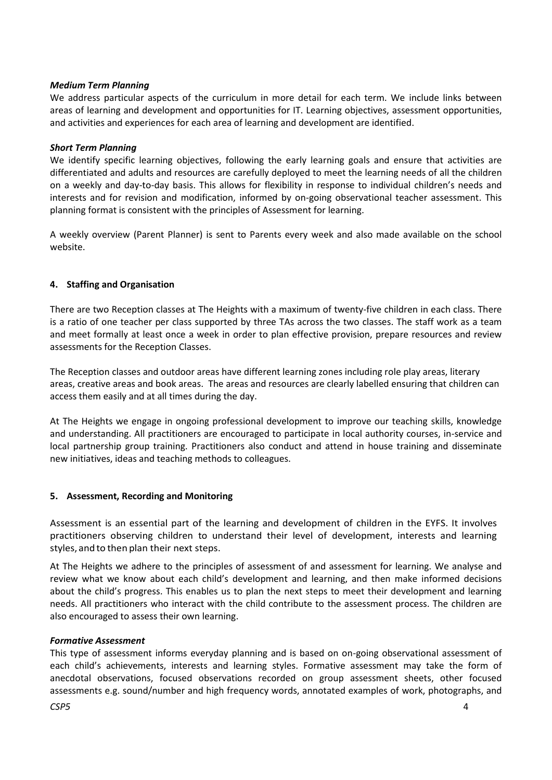#### *Medium Term Planning*

We address particular aspects of the curriculum in more detail for each term. We include links between areas of learning and development and opportunities for IT. Learning objectives, assessment opportunities, and activities and experiences for each area of learning and development are identified.

#### *Short Term Planning*

We identify specific learning objectives, following the early learning goals and ensure that activities are differentiated and adults and resources are carefully deployed to meet the learning needs of all the children on a weekly and day-to-day basis. This allows for flexibility in response to individual children's needs and interests and for revision and modification, informed by on-going observational teacher assessment. This planning format is consistent with the principles of Assessment for learning.

A weekly overview (Parent Planner) is sent to Parents every week and also made available on the school website.

#### **4. Staffing and Organisation**

There are two Reception classes at The Heights with a maximum of twenty-five children in each class. There is a ratio of one teacher per class supported by three TAs across the two classes. The staff work as a team and meet formally at least once a week in order to plan effective provision, prepare resources and review assessments for the Reception Classes.

The Reception classes and outdoor areas have different learning zones including role play areas, literary areas, creative areas and book areas. The areas and resources are clearly labelled ensuring that children can access them easily and at all times during the day.

At The Heights we engage in ongoing professional development to improve our teaching skills, knowledge and understanding. All practitioners are encouraged to participate in local authority courses, in-service and local partnership group training. Practitioners also conduct and attend in house training and disseminate new initiatives, ideas and teaching methods to colleagues.

## **5. Assessment, Recording and Monitoring**

Assessment is an essential part of the learning and development of children in the EYFS. It involves practitioners observing children to understand their level of development, interests and learning styles, and to then plan their next steps.

At The Heights we adhere to the principles of assessment of and assessment for learning. We analyse and review what we know about each child's development and learning, and then make informed decisions about the child's progress. This enables us to plan the next steps to meet their development and learning needs. All practitioners who interact with the child contribute to the assessment process. The children are also encouraged to assess their own learning.

#### *Formative Assessment*

This type of assessment informs everyday planning and is based on on-going observational assessment of each child's achievements, interests and learning styles. Formative assessment may take the form of anecdotal observations, focused observations recorded on group assessment sheets, other focused assessments e.g. sound/number and high frequency words, annotated examples of work, photographs, and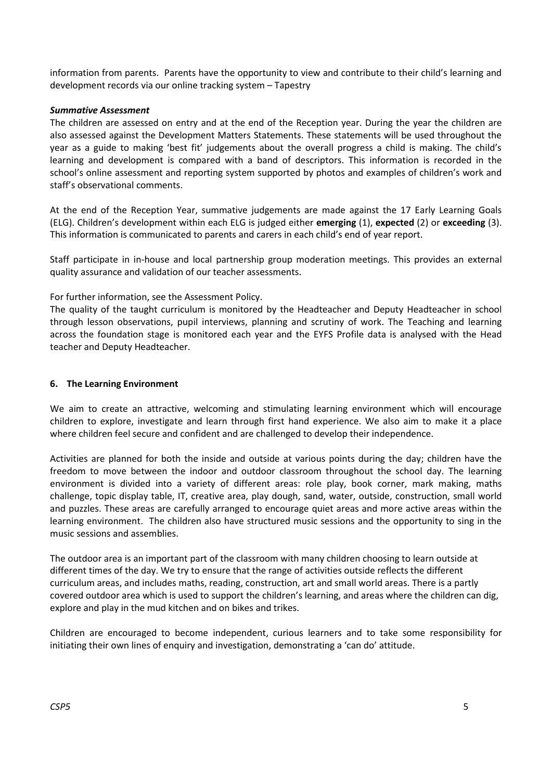information from parents. Parents have the opportunity to view and contribute to their child's learning and development records via our online tracking system – Tapestry

#### *Summative Assessment*

The children are assessed on entry and at the end of the Reception year. During the year the children are also assessed against the Development Matters Statements. These statements will be used throughout the year as a guide to making 'best fit' judgements about the overall progress a child is making. The child's learning and development is compared with a band of descriptors. This information is recorded in the school's online assessment and reporting system supported by photos and examples of children's work and staff's observational comments.

At the end of the Reception Year, summative judgements are made against the 17 Early Learning Goals (ELG). Children's development within each ELG is judged either **emerging** (1), **expected** (2) or **exceeding** (3). This information is communicated to parents and carers in each child's end of year report.

Staff participate in in-house and local partnership group moderation meetings. This provides an external quality assurance and validation of our teacher assessments.

For further information, see the Assessment Policy.

The quality of the taught curriculum is monitored by the Headteacher and Deputy Headteacher in school through lesson observations, pupil interviews, planning and scrutiny of work. The Teaching and learning across the foundation stage is monitored each year and the EYFS Profile data is analysed with the Head teacher and Deputy Headteacher.

#### **6. The Learning Environment**

We aim to create an attractive, welcoming and stimulating learning environment which will encourage children to explore, investigate and learn through first hand experience. We also aim to make it a place where children feel secure and confident and are challenged to develop their independence.

Activities are planned for both the inside and outside at various points during the day; children have the freedom to move between the indoor and outdoor classroom throughout the school day. The learning environment is divided into a variety of different areas: role play, book corner, mark making, maths challenge, topic display table, IT, creative area, play dough, sand, water, outside, construction, small world and puzzles. These areas are carefully arranged to encourage quiet areas and more active areas within the learning environment. The children also have structured music sessions and the opportunity to sing in the music sessions and assemblies.

The outdoor area is an important part of the classroom with many children choosing to learn outside at different times of the day. We try to ensure that the range of activities outside reflects the different curriculum areas, and includes maths, reading, construction, art and small world areas. There is a partly covered outdoor area which is used to support the children's learning, and areas where the children can dig, explore and play in the mud kitchen and on bikes and trikes.

Children are encouraged to become independent, curious learners and to take some responsibility for initiating their own lines of enquiry and investigation, demonstrating a 'can do' attitude.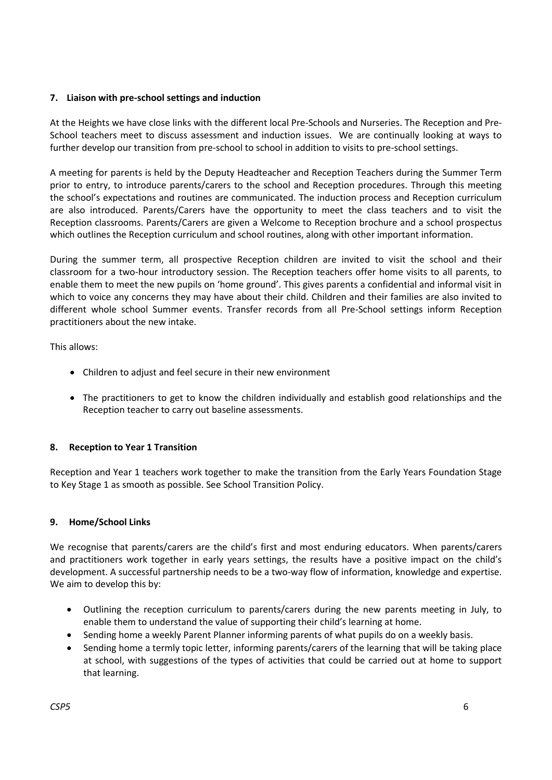#### **7. Liaison with pre-school settings and induction**

At the Heights we have close links with the different local Pre-Schools and Nurseries. The Reception and Pre-School teachers meet to discuss assessment and induction issues. We are continually looking at ways to further develop our transition from pre-school to school in addition to visits to pre-school settings.

A meeting for parents is held by the Deputy Headteacher and Reception Teachers during the Summer Term prior to entry, to introduce parents/carers to the school and Reception procedures. Through this meeting the school's expectations and routines are communicated. The induction process and Reception curriculum are also introduced. Parents/Carers have the opportunity to meet the class teachers and to visit the Reception classrooms. Parents/Carers are given a Welcome to Reception brochure and a school prospectus which outlines the Reception curriculum and school routines, along with other important information.

During the summer term, all prospective Reception children are invited to visit the school and their classroom for a two-hour introductory session. The Reception teachers offer home visits to all parents, to enable them to meet the new pupils on 'home ground'. This gives parents a confidential and informal visit in which to voice any concerns they may have about their child. Children and their families are also invited to different whole school Summer events. Transfer records from all Pre-School settings inform Reception practitioners about the new intake.

This allows:

- Children to adjust and feel secure in their new environment
- The practitioners to get to know the children individually and establish good relationships and the Reception teacher to carry out baseline assessments.

## **8. Reception to Year 1 Transition**

Reception and Year 1 teachers work together to make the transition from the Early Years Foundation Stage to Key Stage 1 as smooth as possible. See School Transition Policy.

## **9. Home/School Links**

We recognise that parents/carers are the child's first and most enduring educators. When parents/carers and practitioners work together in early years settings, the results have a positive impact on the child's development. A successful partnership needs to be a two-way flow of information, knowledge and expertise. We aim to develop this by:

- Outlining the reception curriculum to parents/carers during the new parents meeting in July, to enable them to understand the value of supporting their child's learning at home.
- Sending home a weekly Parent Planner informing parents of what pupils do on a weekly basis.
- Sending home a termly topic letter, informing parents/carers of the learning that will be taking place at school, with suggestions of the types of activities that could be carried out at home to support that learning.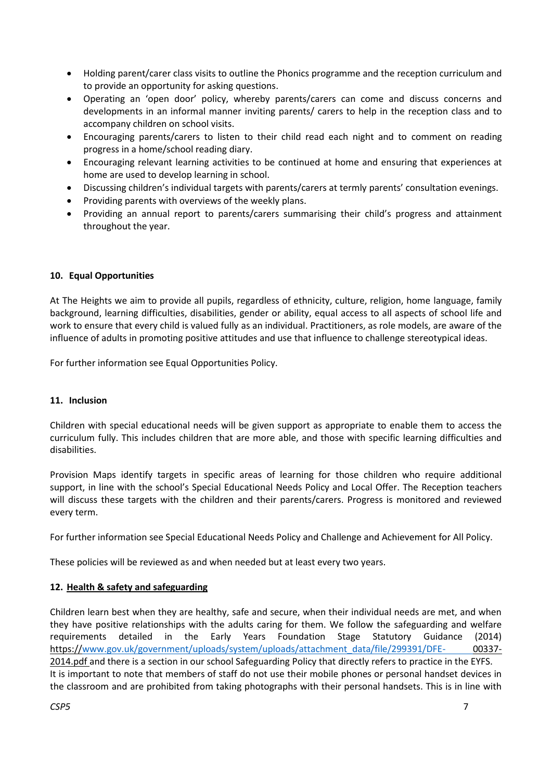- Holding parent/carer class visits to outline the Phonics programme and the reception curriculum and to provide an opportunity for asking questions.
- Operating an 'open door' policy, whereby parents/carers can come and discuss concerns and developments in an informal manner inviting parents/ carers to help in the reception class and to accompany children on school visits.
- Encouraging parents/carers to listen to their child read each night and to comment on reading progress in a home/school reading diary.
- Encouraging relevant learning activities to be continued at home and ensuring that experiences at home are used to develop learning in school.
- Discussing children's individual targets with parents/carers at termly parents' consultation evenings.
- Providing parents with overviews of the weekly plans.
- Providing an annual report to parents/carers summarising their child's progress and attainment throughout the year.

## **10. Equal Opportunities**

At The Heights we aim to provide all pupils, regardless of ethnicity, culture, religion, home language, family background, learning difficulties, disabilities, gender or ability, equal access to all aspects of school life and work to ensure that every child is valued fully as an individual. Practitioners, as role models, are aware of the influence of adults in promoting positive attitudes and use that influence to challenge stereotypical ideas.

For further information see Equal Opportunities Policy.

## **11. Inclusion**

Children with special educational needs will be given support as appropriate to enable them to access the curriculum fully. This includes children that are more able, and those with specific learning difficulties and disabilities.

Provision Maps identify targets in specific areas of learning for those children who require additional support, in line with the school's Special Educational Needs Policy and Local Offer. The Reception teachers will discuss these targets with the children and their parents/carers. Progress is monitored and reviewed every term.

For further information see Special Educational Needs Policy and Challenge and Achievement for All Policy.

These policies will be reviewed as and when needed but at least every two years.

## **12. Health & safety and safeguarding**

Children learn best when they are healthy, safe and secure, when their individual needs are met, and when they have positive relationships with the adults caring for them. We follow the safeguarding and welfare requirements detailed in the Early Years Foundation Stage Statutory Guidance (2014) https:/[/www.gov.uk/government/uploads/system/uploads/attachment\\_data/file/299391/DFE-](http://www.gov.uk/government/uploads/system/uploads/attachment_data/file/299391/DFE-) 00337- 2014.pdf and there is a section in our school Safeguarding Policy that directly refers to practice in the EYFS. It is important to note that members of staff do not use their mobile phones or personal handset devices in the classroom and are prohibited from taking photographs with their personal handsets. This is in line with